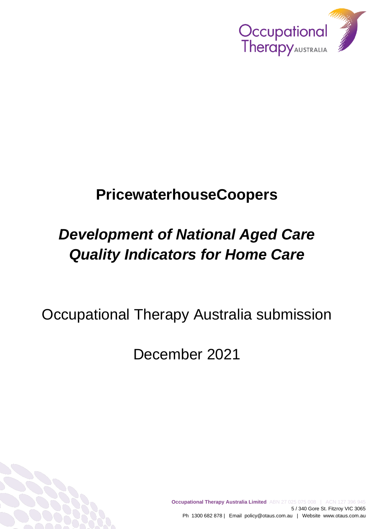

## **PricewaterhouseCoopers**

# *Development of National Aged Care Quality Indicators for Home Care*

Occupational Therapy Australia submission

December 2021

**Occupational Therapy Australia Limited** ABN 27 025 075 008 | ACN 127 396 945 5 / 340 Gore St. Fitzroy VIC 3065 Ph 1300 682 878 | Email policy@otaus.com.au | Website www.otaus.com.au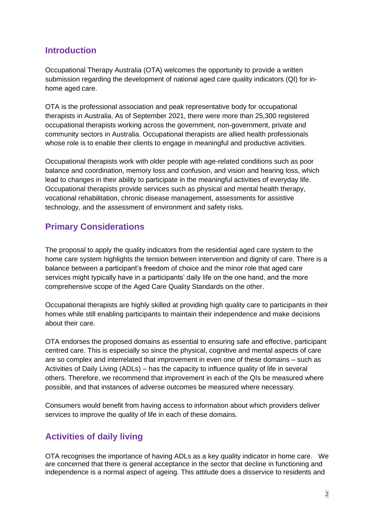#### **Introduction**

Occupational Therapy Australia (OTA) welcomes the opportunity to provide a written submission regarding the development of national aged care quality indicators (QI) for inhome aged care.

OTA is the professional association and peak representative body for occupational therapists in Australia. As of September 2021, there were more than 25,300 registered occupational therapists working across the government, non-government, private and community sectors in Australia. Occupational therapists are allied health professionals whose role is to enable their clients to engage in meaningful and productive activities.

Occupational therapists work with older people with age-related conditions such as poor balance and coordination, memory loss and confusion, and vision and hearing loss, which lead to changes in their ability to participate in the meaningful activities of everyday life. Occupational therapists provide services such as physical and mental health therapy, vocational rehabilitation, chronic disease management, assessments for assistive technology, and the assessment of environment and safety risks.

## **Primary Considerations**

The proposal to apply the quality indicators from the residential aged care system to the home care system highlights the tension between intervention and dignity of care. There is a balance between a participant's freedom of choice and the minor role that aged care services might typically have in a participants' daily life on the one hand, and the more comprehensive scope of the Aged Care Quality Standards on the other.

Occupational therapists are highly skilled at providing high quality care to participants in their homes while still enabling participants to maintain their independence and make decisions about their care.

OTA endorses the proposed domains as essential to ensuring safe and effective, participant centred care. This is especially so since the physical, cognitive and mental aspects of care are so complex and interrelated that improvement in even one of these domains – such as Activities of Daily Living (ADLs) – has the capacity to influence quality of life in several others. Therefore, we recommend that improvement in each of the QIs be measured where possible, and that instances of adverse outcomes be measured where necessary.

Consumers would benefit from having access to information about which providers deliver services to improve the quality of life in each of these domains.

## **Activities of daily living**

OTA recognises the importance of having ADLs as a key quality indicator in home care. We are concerned that there is general acceptance in the sector that decline in functioning and independence is a normal aspect of ageing. This attitude does a disservice to residents and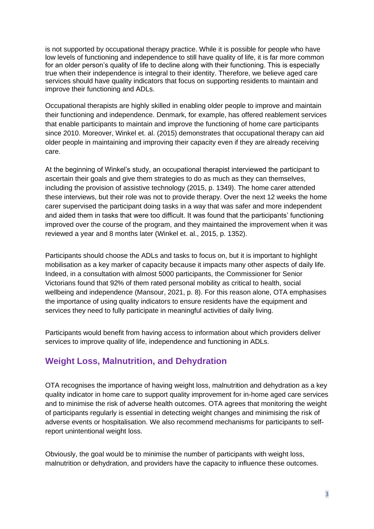is not supported by occupational therapy practice. While it is possible for people who have low levels of functioning and independence to still have quality of life, it is far more common for an older person's quality of life to decline along with their functioning. This is especially true when their independence is integral to their identity. Therefore, we believe aged care services should have quality indicators that focus on supporting residents to maintain and improve their functioning and ADLs.

Occupational therapists are highly skilled in enabling older people to improve and maintain their functioning and independence. Denmark, for example, has offered reablement services that enable participants to maintain and improve the functioning of home care participants since 2010. Moreover, Winkel et. al. (2015) demonstrates that occupational therapy can aid older people in maintaining and improving their capacity even if they are already receiving care.

At the beginning of Winkel's study, an occupational therapist interviewed the participant to ascertain their goals and give them strategies to do as much as they can themselves, including the provision of assistive technology (2015, p. 1349). The home carer attended these interviews, but their role was not to provide therapy. Over the next 12 weeks the home carer supervised the participant doing tasks in a way that was safer and more independent and aided them in tasks that were too difficult. It was found that the participants' functioning improved over the course of the program, and they maintained the improvement when it was reviewed a year and 8 months later (Winkel et. al., 2015, p. 1352).

Participants should choose the ADLs and tasks to focus on, but it is important to highlight mobilisation as a key marker of capacity because it impacts many other aspects of daily life. Indeed, in a consultation with almost 5000 participants, the Commissioner for Senior Victorians found that 92% of them rated personal mobility as critical to health, social wellbeing and independence (Mansour, 2021, p. 8). For this reason alone, OTA emphasises the importance of using quality indicators to ensure residents have the equipment and services they need to fully participate in meaningful activities of daily living.

Participants would benefit from having access to information about which providers deliver services to improve quality of life, independence and functioning in ADLs.

## **Weight Loss, Malnutrition, and Dehydration**

OTA recognises the importance of having weight loss, malnutrition and dehydration as a key quality indicator in home care to support quality improvement for in-home aged care services and to minimise the risk of adverse health outcomes. OTA agrees that monitoring the weight of participants regularly is essential in detecting weight changes and minimising the risk of adverse events or hospitalisation. We also recommend mechanisms for participants to selfreport unintentional weight loss.

Obviously, the goal would be to minimise the number of participants with weight loss, malnutrition or dehydration, and providers have the capacity to influence these outcomes.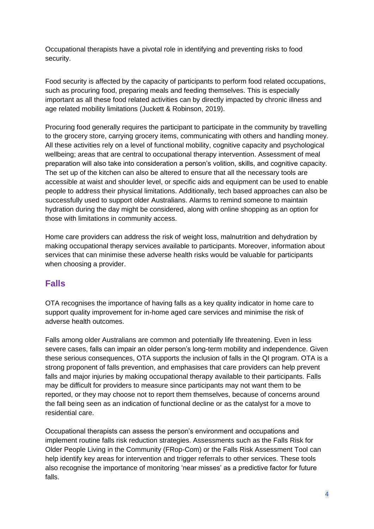Occupational therapists have a pivotal role in identifying and preventing risks to food security.

Food security is affected by the capacity of participants to perform food related occupations, such as procuring food, preparing meals and feeding themselves. This is especially important as all these food related activities can by directly impacted by chronic illness and age related mobility limitations (Juckett & Robinson, 2019).

Procuring food generally requires the participant to participate in the community by travelling to the grocery store, carrying grocery items, communicating with others and handling money. All these activities rely on a level of functional mobility, cognitive capacity and psychological wellbeing; areas that are central to occupational therapy intervention. Assessment of meal preparation will also take into consideration a person's volition, skills, and cognitive capacity. The set up of the kitchen can also be altered to ensure that all the necessary tools are accessible at waist and shoulder level, or specific aids and equipment can be used to enable people to address their physical limitations. Additionally, tech based approaches can also be successfully used to support older Australians. Alarms to remind someone to maintain hydration during the day might be considered, along with online shopping as an option for those with limitations in community access.

Home care providers can address the risk of weight loss, malnutrition and dehydration by making occupational therapy services available to participants. Moreover, information about services that can minimise these adverse health risks would be valuable for participants when choosing a provider.

## **Falls**

OTA recognises the importance of having falls as a key quality indicator in home care to support quality improvement for in-home aged care services and minimise the risk of adverse health outcomes.

Falls among older Australians are common and potentially life threatening. Even in less severe cases, falls can impair an older person's long-term mobility and independence. Given these serious consequences, OTA supports the inclusion of falls in the QI program. OTA is a strong proponent of falls prevention, and emphasises that care providers can help prevent falls and major injuries by making occupational therapy available to their participants. Falls may be difficult for providers to measure since participants may not want them to be reported, or they may choose not to report them themselves, because of concerns around the fall being seen as an indication of functional decline or as the catalyst for a move to residential care.

Occupational therapists can assess the person's environment and occupations and implement routine falls risk reduction strategies. Assessments such as the Falls Risk for Older People Living in the Community (FRop-Com) or the Falls Risk Assessment Tool can help identify key areas for intervention and trigger referrals to other services. These tools also recognise the importance of monitoring 'near misses' as a predictive factor for future falls.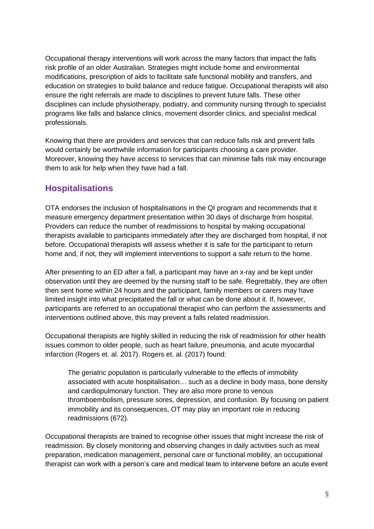Occupational therapy interventions will work across the many factors that impact the falls risk profile of an older Australian. Strategies might include home and environmental modifications, prescription of aids to facilitate safe functional mobility and transfers, and education on strategies to build balance and reduce fatigue. Occupational therapists will also ensure the right referrals are made to disciplines to prevent future falls. These other disciplines can include physiotherapy, podiatry, and community nursing through to specialist programs like falls and balance clinics, movement disorder clinics, and specialist medical professionals.

Knowing that there are providers and services that can reduce falls risk and prevent falls would certainly be worthwhile information for participants choosing a care provider. Moreover, knowing they have access to services that can minimise falls risk may encourage them to ask for help when they have had a fall.

#### **Hospitalisations**

OTA endorses the inclusion of hospitalisations in the QI program and recommends that it measure emergency department presentation within 30 days of discharge from hospital. Providers can reduce the number of readmissions to hospital by making occupational therapists available to participants immediately after they are discharged from hospital, if not before. Occupational therapists will assess whether it is safe for the participant to return home and, if not, they will implement interventions to support a safe return to the home.

After presenting to an ED after a fall, a participant may have an x-ray and be kept under observation until they are deemed by the nursing staff to be safe. Regrettably, they are often then sent home within 24 hours and the participant, family members or carers may have limited insight into what precipitated the fall or what can be done about it. If, however, participants are referred to an occupational therapist who can perform the assessments and interventions outlined above, this may prevent a falls related readmission.

Occupational therapists are highly skilled in reducing the risk of readmission for other health issues common to older people, such as heart failure, pneumonia, and acute myocardial infarction (Rogers et. al. 2017). Rogers et. al. (2017) found:

The geriatric population is particularly vulnerable to the effects of immobility associated with acute hospitalisation… such as a decline in body mass, bone density and cardiopulmonary function. They are also more prone to venous thromboembolism, pressure sores, depression, and confusion. By focusing on patient immobility and its consequences, OT may play an important role in reducing readmissions (672).

Occupational therapists are trained to recognise other issues that might increase the risk of readmission. By closely monitoring and observing changes in daily activities such as meal preparation, medication management, personal care or functional mobility, an occupational therapist can work with a person's care and medical team to intervene before an acute event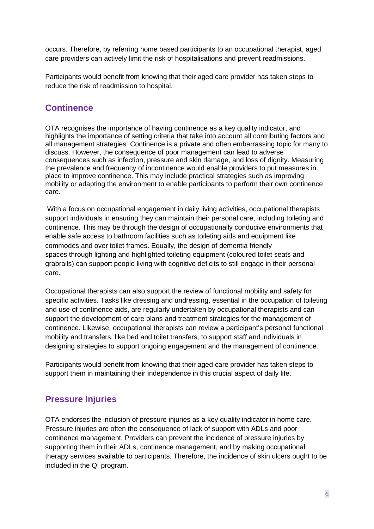occurs. Therefore, by referring home based participants to an occupational therapist, aged care providers can actively limit the risk of hospitalisations and prevent readmissions.

Participants would benefit from knowing that their aged care provider has taken steps to reduce the risk of readmission to hospital.

## **Continence**

OTA recognises the importance of having continence as a key quality indicator, and highlights the importance of setting criteria that take into account all contributing factors and all management strategies. Continence is a private and often embarrassing topic for many to discuss. However, the consequence of poor management can lead to adverse consequences such as infection, pressure and skin damage, and loss of dignity. Measuring the prevalence and frequency of incontinence would enable providers to put measures in place to improve continence. This may include practical strategies such as improving mobility or adapting the environment to enable participants to perform their own continence care.

With a focus on occupational engagement in daily living activities, occupational therapists support individuals in ensuring they can maintain their personal care, including toileting and continence. This may be through the design of occupationally conducive environments that enable safe access to bathroom facilities such as toileting aids and equipment like commodes and over toilet frames. Equally, the design of dementia friendly spaces through lighting and highlighted toileting equipment (coloured toilet seats and grabrails) can support people living with cognitive deficits to still engage in their personal care.

Occupational therapists can also support the review of functional mobility and safety for specific activities. Tasks like dressing and undressing, essential in the occupation of toileting and use of continence aids, are regularly undertaken by occupational therapists and can support the development of care plans and treatment strategies for the management of continence. Likewise, occupational therapists can review a participant's personal functional mobility and transfers, like bed and toilet transfers, to support staff and individuals in designing strategies to support ongoing engagement and the management of continence.

Participants would benefit from knowing that their aged care provider has taken steps to support them in maintaining their independence in this crucial aspect of daily life.

## **Pressure Injuries**

OTA endorses the inclusion of pressure injuries as a key quality indicator in home care. Pressure injuries are often the consequence of lack of support with ADLs and poor continence management. Providers can prevent the incidence of pressure injuries by supporting them in their ADLs, continence management, and by making occupational therapy services available to participants. Therefore, the incidence of skin ulcers ought to be included in the QI program.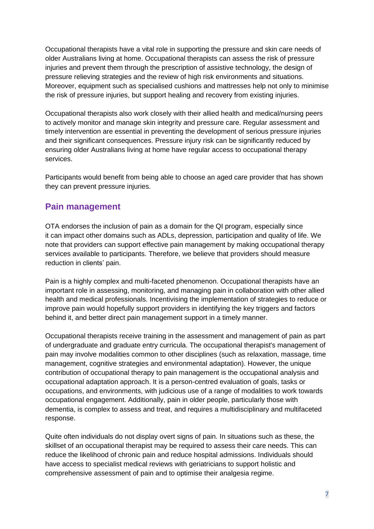Occupational therapists have a vital role in supporting the pressure and skin care needs of older Australians living at home. Occupational therapists can assess the risk of pressure injuries and prevent them through the prescription of assistive technology, the design of pressure relieving strategies and the review of high risk environments and situations. Moreover, equipment such as specialised cushions and mattresses help not only to minimise the risk of pressure injuries, but support healing and recovery from existing injuries.

Occupational therapists also work closely with their allied health and medical/nursing peers to actively monitor and manage skin integrity and pressure care. Regular assessment and timely intervention are essential in preventing the development of serious pressure injuries and their significant consequences. Pressure injury risk can be significantly reduced by ensuring older Australians living at home have regular access to occupational therapy services.

Participants would benefit from being able to choose an aged care provider that has shown they can prevent pressure injuries.

#### **Pain management**

OTA endorses the inclusion of pain as a domain for the QI program, especially since it can impact other domains such as ADLs, depression, participation and quality of life. We note that providers can support effective pain management by making occupational therapy services available to participants. Therefore, we believe that providers should measure reduction in clients' pain.

Pain is a highly complex and multi-faceted phenomenon. Occupational therapists have an important role in assessing, monitoring, and managing pain in collaboration with other allied health and medical professionals. Incentivising the implementation of strategies to reduce or improve pain would hopefully support providers in identifying the key triggers and factors behind it, and better direct pain management support in a timely manner.

Occupational therapists receive training in the assessment and management of pain as part of undergraduate and graduate entry curricula. The occupational therapist's management of pain may involve modalities common to other disciplines (such as relaxation, massage, time management, cognitive strategies and environmental adaptation). However, the unique contribution of occupational therapy to pain management is the occupational analysis and occupational adaptation approach. It is a person-centred evaluation of goals, tasks or occupations, and environments, with judicious use of a range of modalities to work towards occupational engagement. Additionally, pain in older people, particularly those with dementia, is complex to assess and treat, and requires a multidisciplinary and multifaceted response.

Quite often individuals do not display overt signs of pain. In situations such as these, the skillset of an occupational therapist may be required to assess their care needs. This can reduce the likelihood of chronic pain and reduce hospital admissions. Individuals should have access to specialist medical reviews with geriatricians to support holistic and comprehensive assessment of pain and to optimise their analgesia regime.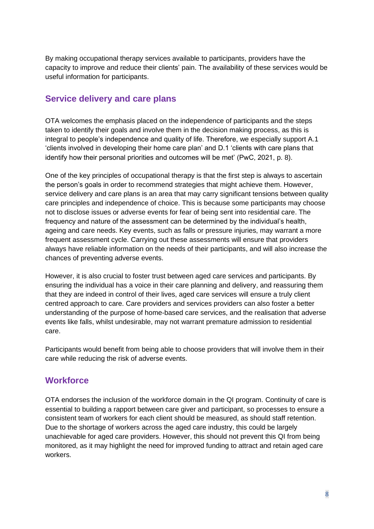By making occupational therapy services available to participants, providers have the capacity to improve and reduce their clients' pain. The availability of these services would be useful information for participants.

## **Service delivery and care plans**

OTA welcomes the emphasis placed on the independence of participants and the steps taken to identify their goals and involve them in the decision making process, as this is integral to people's independence and quality of life. Therefore, we especially support A.1 'clients involved in developing their home care plan' and D.1 'clients with care plans that identify how their personal priorities and outcomes will be met' (PwC, 2021, p. 8).

One of the key principles of occupational therapy is that the first step is always to ascertain the person's goals in order to recommend strategies that might achieve them. However, service delivery and care plans is an area that may carry significant tensions between quality care principles and independence of choice. This is because some participants may choose not to disclose issues or adverse events for fear of being sent into residential care. The frequency and nature of the assessment can be determined by the individual's health, ageing and care needs. Key events, such as falls or pressure injuries, may warrant a more frequent assessment cycle. Carrying out these assessments will ensure that providers always have reliable information on the needs of their participants, and will also increase the chances of preventing adverse events.

However, it is also crucial to foster trust between aged care services and participants. By ensuring the individual has a voice in their care planning and delivery, and reassuring them that they are indeed in control of their lives, aged care services will ensure a truly client centred approach to care. Care providers and services providers can also foster a better understanding of the purpose of home-based care services, and the realisation that adverse events like falls, whilst undesirable, may not warrant premature admission to residential care.

Participants would benefit from being able to choose providers that will involve them in their care while reducing the risk of adverse events.

#### **Workforce**

OTA endorses the inclusion of the workforce domain in the QI program. Continuity of care is essential to building a rapport between care giver and participant, so processes to ensure a consistent team of workers for each client should be measured, as should staff retention. Due to the shortage of workers across the aged care industry, this could be largely unachievable for aged care providers. However, this should not prevent this QI from being monitored, as it may highlight the need for improved funding to attract and retain aged care workers.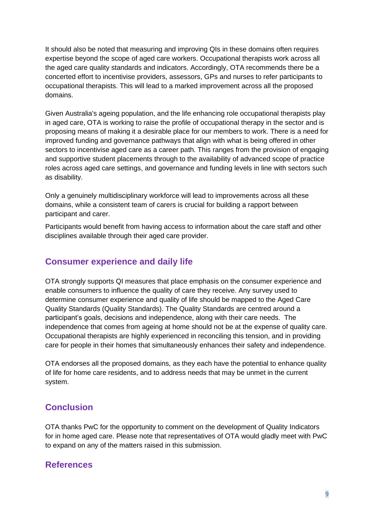It should also be noted that measuring and improving QIs in these domains often requires expertise beyond the scope of aged care workers. Occupational therapists work across all the aged care quality standards and indicators. Accordingly, OTA recommends there be a concerted effort to incentivise providers, assessors, GPs and nurses to refer participants to occupational therapists. This will lead to a marked improvement across all the proposed domains.

Given Australia's ageing population, and the life enhancing role occupational therapists play in aged care, OTA is working to raise the profile of occupational therapy in the sector and is proposing means of making it a desirable place for our members to work. There is a need for improved funding and governance pathways that align with what is being offered in other sectors to incentivise aged care as a career path. This ranges from the provision of engaging and supportive student placements through to the availability of advanced scope of practice roles across aged care settings, and governance and funding levels in line with sectors such as disability.

Only a genuinely multidisciplinary workforce will lead to improvements across all these domains, while a consistent team of carers is crucial for building a rapport between participant and carer.

Participants would benefit from having access to information about the care staff and other disciplines available through their aged care provider.

## **Consumer experience and daily life**

OTA strongly supports QI measures that place emphasis on the consumer experience and enable consumers to influence the quality of care they receive. Any survey used to determine consumer experience and quality of life should be mapped to the Aged Care Quality Standards (Quality Standards). The Quality Standards are centred around a participant's goals, decisions and independence, along with their care needs. The independence that comes from ageing at home should not be at the expense of quality care. Occupational therapists are highly experienced in reconciling this tension, and in providing care for people in their homes that simultaneously enhances their safety and independence.

OTA endorses all the proposed domains, as they each have the potential to enhance quality of life for home care residents, and to address needs that may be unmet in the current system.

## **Conclusion**

OTA thanks PwC for the opportunity to comment on the development of Quality Indicators for in home aged care. Please note that representatives of OTA would gladly meet with PwC to expand on any of the matters raised in this submission.

#### **References**